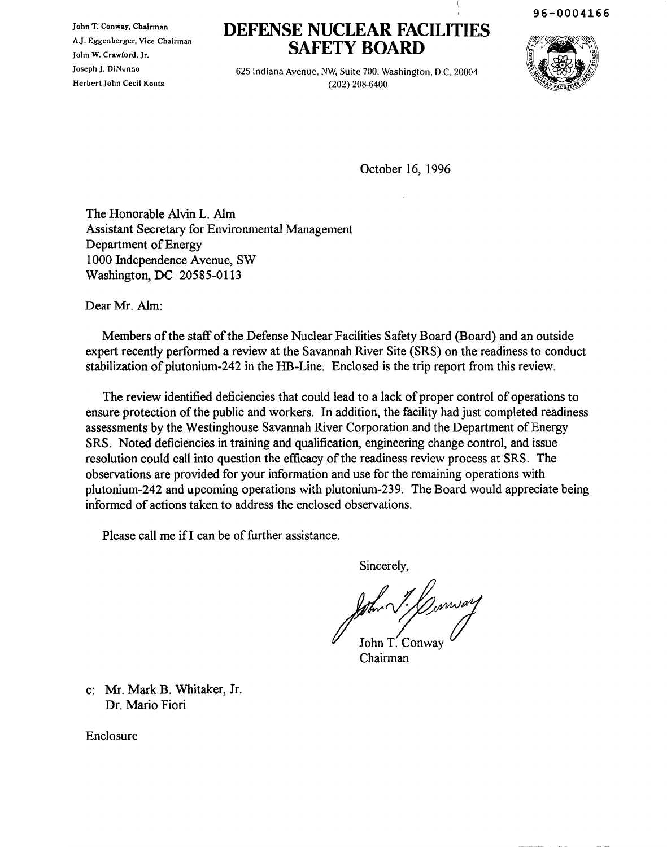96-0004166

John T. Conway, Chairman A.]. Eggenberger, Vice Chairman John W. Crawford. Jr. Joseph J. DiNunno Herbert John Cecil Kouts

## **DEFENSE NUCLEAR FACILITIES SAFETY BOARD**

625 Indiana Avenue, NW, Suite 700, Washington, D.C. 20004 (202) 208-6400



October 16, 1996

The Honorable Alvin L. Aim Assistant Secretary for Environmental Management Department of Energy 1000 Independence Avenue, SW Washington, DC 20585-0113

Dear Mr. Aim:

Members ofthe staff ofthe Defense Nuclear Facilities Safety Board (Board) and an outside expert recently performed a review at the Savannah River Site (SRS) on the readiness to conduct stabilization of plutonium-242 in the HB-Line. Enclosed is the trip report from this review.

The review identified deficiencies that could lead to a lack of proper control of operations to ensure protection of the public and workers. In addition, the facility had just completed readiness assessments by the Westinghouse Savannah River Corporation and the Department of Energy SRS. Noted deficiencies in training and qualification, engineering change control, and issue resolution could call into question the efficacy of the readiness review process at SRS. The observations are provided for your information and use for the remaining operations with plutonium-242 and upcoming operations with plutonium-239. The Board would appreciate being informed of actions taken to address the enclosed observations.

Please call me if I can be of further assistance.

Sincerely,

John T Chairman

c: Mr. Mark B. Whitaker, If. Dr. Mario Fiori

Enclosure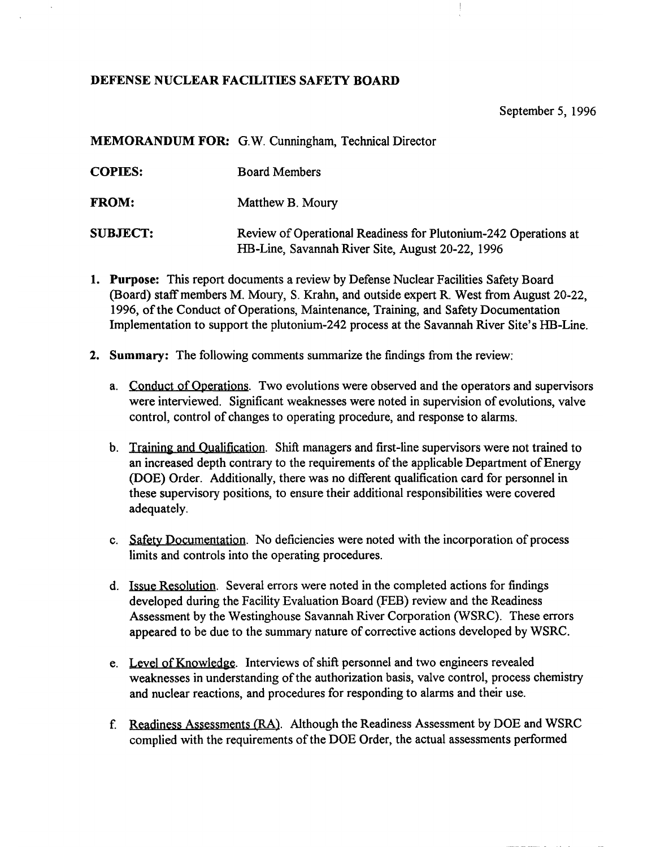## DEFENSE NUCLEAR FACILITIES SAFETY BOARD

September 5, 1996

MEMORANDUM FOR: G.W. Cunningham, Technical Director

COPIES: Board Members

FROM: Matthew B. Moury

SUBJECT: Review of Operational Readiness for Plutonium-242 Operations at HB-Line, Savannah River Site, August 20-22, 1996

- 1. Purpose: This report documents a review by Defense Nuclear Facilities Safety Board (Board) staff members M. Moury, S. Krahn, and outside expert R. West from August 20-22, 1996, of the Conduct of Operations, Maintenance, Training, and Safety Documentation Implementation to support the plutonium-242 process at the Savannah River Site's HB-Line.
- 2. Summary: The following comments summarize the findings from the review:
	- a. Conduct of Operations. Two evolutions were observed and the operators and supervisors were interviewed. Significant weaknesses were noted in supervision of evolutions, valve control, control of changes to operating procedure, and response to alarms.
	- b. Training and Qualification. Shift managers and first-line supervisors were not trained to an increased depth contrary to the requirements of the applicable Department of Energy (DOE) Order. Additionally, there was no different qualification card for personnel in these supervisory positions, to ensure their additional responsibilities were covered adequately.
	- c. Safety Documentation. No deficiencies were noted with the incorporation of process limits and controls into the operating procedures.
	- d. Issue Resolution. Several errors were noted in the completed actions for findings developed during the Facility Evaluation Board (FEB) review and the Readiness Assessment by the Westinghouse Savannah River Corporation (WSRC). These errors appeared to be due to the summary nature of corrective actions developed by WSRC.
	- e. Level of Knowledge. Interviews of shift personnel and two engineers revealed weaknesses in understanding of the authorization basis, valve control, process chemistry and nuclear reactions, and procedures for responding to alarms and their use.
	- f. Readiness Assessments (RA). Although the Readiness Assessment by DOE and WSRC complied with the requirements of the DOE Order, the actual assessments performed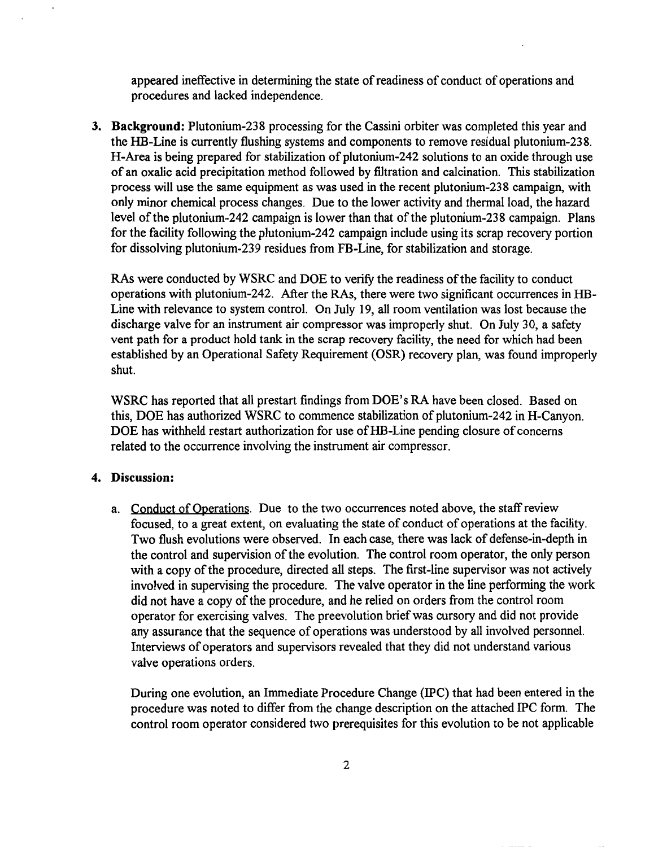appeared ineffective in determining the state of readiness of conduct of operations and procedures and lacked independence.

3. Background: Plutonium-238 processing for the Cassini orbiter was completed this year and the HB-Line is currently flushing systems and components to remove residual plutonium-238. H-Area is being prepared for stabilization of plutonium-242 solutions to an oxide through use of an oxalic acid precipitation method followed by filtration and calcination. This stabilization process will use the same equipment as was used in the recent plutonium-238 campaign, with only minor chemical process changes. Due to the lower activity and thermal load, the hazard level of the plutonium-242 campaign is lower than that of the plutonium-238 campaign. Plans for the facility following the plutonium-242 campaign include using its scrap recovery portion for dissolving plutonium-239 residues from FB-Line, for stabilization and storage.

RAs were conducted by WSRC and DOE to verify the readiness of the facility to conduct operations with plutonium-242. After the RAs, there were two significant occurrences in HB-Line with relevance to system control. On July 19, all room ventilation was lost because the discharge valve for an instrument air compressor was improperly shut. On July 30, a safety vent path for a product hold tank in the scrap recovery facility, the need for which had been established by an Operational Safety Requirement (OSR) recovery plan, was found improperly shut.

WSRC has reported that all prestart findings from DOE's RA have been closed. Based on this, DOE has authorized WSRC to commence stabilization of plutonium-242 in H-Canyon. DOE has withheld restart authorization for use of HB-Line pending closure of concerns related to the occurrence involving the instrument air compressor.

## 4. Discussion:

a. Conduct of Operations. Due to the two occurrences noted above, the staffreview focused, to a great extent, on evaluating the state of conduct of operations at the facility. Two flush evolutions were observed. In each case, there was lack of defense-in-depth in the control and supervision of the evolution. The control room operator, the only person with a copy of the procedure, directed all steps. The first-line supervisor was not actively involved in supervising the procedure. The valve operator in the line performing the work did not have a copy of the procedure, and he relied on orders from the control room operator for exercising valves. The preevolution briefwas cursory and did not provide any assurance that the sequence of operations was understood by all involved personnel. Interviews of operators and supervisors revealed that they did not understand various valve operations orders.

During one evolution, an Immediate Procedure Change (IPC) that had been entered in the procedure was noted to differ from the change description on the attached IPC form. The control room operator considered two prerequisites for this evolution to be not applicable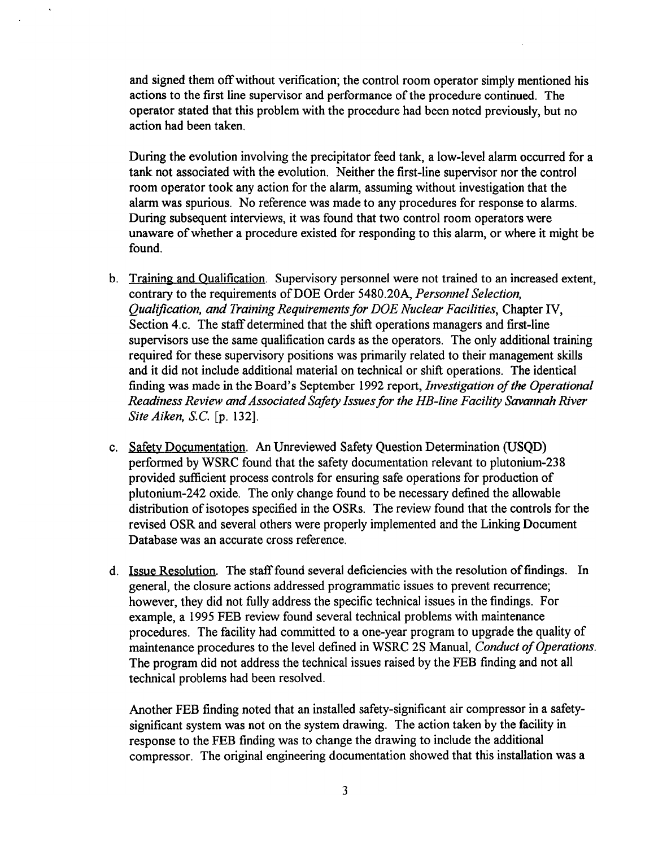and signed them off without verification; the control room operator simply mentioned his actions to the first line supervisor and performance of the procedure continued. The operator stated that this problem with the procedure had been noted previously, but no action had been taken.

During the evolution involving the precipitator feed tank, a low-level alarm occurred for a tank not associated with the evolution. Neither the first-line supervisor nor the control room operator took any action for the alarm, assuming without investigation that the alarm was spurious. No reference was made to any procedures for response to alarms. During subsequent interviews, it was found that two control room operators were unaware of whether a procedure existed for responding to this alarm, or where it might be found.

- b. Training and Qualification. Supervisory personnel were not trained to an increased extent, contrary to the requirements ofDOE Order 5480.20A, *Personnel Selection, Qualification, and Training Requirementsfor DOE Nuclear Facilities,* Chapter IV, Section 4.c. The staff determined that the shift operations managers and first-line supervisors use the same qualification cards as the operators. The only additional training required for these supervisory positions was primarily related to their management skills and it did not include additional material on technical or shift operations. The identical finding was made in the Board's September 1992 report, *Investigation of the Operational Readiness Review andAssociated Safety Issuesfor the HB-line Facility Savannah River Site Aiken, S.C.* [p. 132].
- c. Safety Documentation. An Unreviewed Safety Question Determination (USQD) performed by WSRC found that the safety documentation relevant to plutonium-238 provided sufficient process controls for ensuring safe operations for production of plutonium-242 oxide. The only change found to be necessary defined the allowable distribution of isotopes specified in the OSRs. The review found that the controls for the revised OSR and several others were properly implemented and the Linking Document Database was an accurate cross reference.
- d. Issue Resolution. The stafffound several deficiencies with the resolution offindings. In general, the closure actions addressed programmatic issues to prevent recurrence; however, they did not fully address the specific technical issues in the findings. For example, a 1995 FEB review found several technical problems with maintenance procedures. The facility had committed to a one-year program to upgrade the quality of maintenance procedures to the level defined in WSRC 2S Manual, *Conduct of Operations*. The program did not address the technical issues raised by the FEB finding and not all technical problems had been resolved.

Another FEB finding noted that an installed safety-significant air compressor in a safetysignificant system was not on the system drawing. The action taken by the facility in response to the FEB finding was to change the drawing to include the additional compressor. The original engineering documentation showed that this installation was a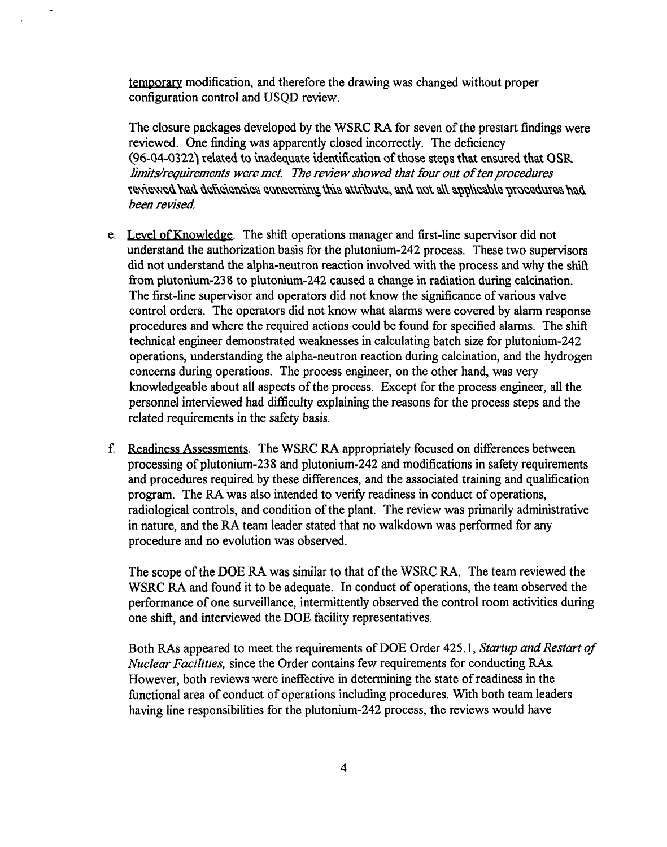temporaty modification, and therefore the drawing was changed without proper configuration control and USQD review.

The closure packages developed by the WSRC RA for seven of the prestart findings were reviewed. One finding was apparently closed incorrectly. The deficiency (96-04-0322) related to inadequate identification of those steps that ensured that OSR *limits/requirements weremet The reviewshowed that four out oftenprocedures*  ${\bf\,}$  reviewed had deficiencies concerning this attribute, and not all applicable procedures had *been revised*

- e. Level of Knowledge. The shift operations manager and first-line supervisor did not understand the authorization basis for the plutonium-242 process. These two supervisors did not understand the alpha-neutron reaction involved with the process and why the shift from plutonium-238 to plutonium-242 caused a change in radiation during calcination. The first-line supervisor and operators did not know the significance of various valve control orders. The operators did not know what alarms were covered by alarm response procedures and where the required actions could be found for specified alarms. The shift technical engineer demonstrated weaknesses in calculating batch size for plutonium-242 operations, understanding the alpha-neutron reaction during calcination, and the hydrogen concerns during operations. The process engineer, on the other hand, was very knowledgeable about all aspects of the process. Except for the process engineer, all the personnel interviewed had difficulty explaining the reasons for the process steps and the related requirements in the safety basis.
- f. Readiness Assessments. The WSRC RA appropriately focused on differences between processing of plutonium-238 and plutonium-242 and modifications in safety requirements and procedures required by these differences, and the associated training and qualification program. The RA was also intended to verify readiness in conduct of operations, radiological controls, and condition of the plant. The review was primarily administrative in nature, and the RA team leader stated that no walkdown was performed for any procedure and no evolution was observed.

The scope of the DOE RA was similar to that of the WSRC RA. The team reviewed the WSRC RA and found it to be adequate. In conduct of operations, the team observed the performance of one surveillance, intermittently observed the control room activities during one shift, and interviewed the DOE facility representatives.

Both RAs appeared to meet the requirements of DOE Order 425.1, *Startup and Restart of Nuclear Facilities,* since the Order contains few requirements for conducting RAs. However, both reviews were ineffective in determining the state of readiness in the functional area of conduct of operations including procedures. With both team leaders having line responsibilities for the plutonium-242 process, the reviews would have